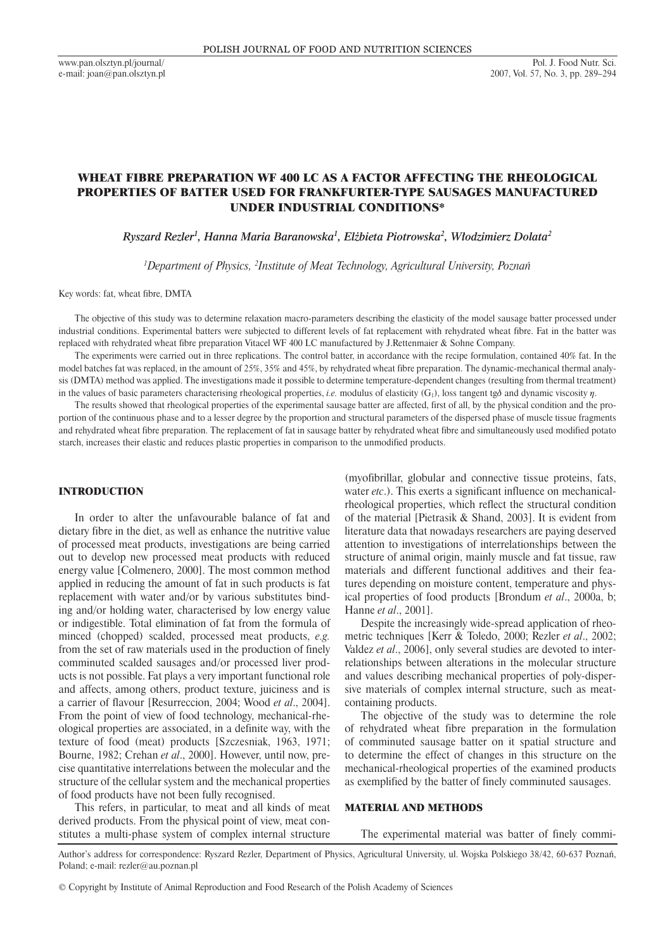# WHEAT FIBRE PREPARATION WF 400 LC AS A FACTOR AFFECTING THE RHEOLOGICAL PROPERTIES OF BATTER USED FOR FRANKFURTER-TYPE SAUSAGES MANUFACTURED UNDER INDUSTRIAL CONDITIONS\*

*Ryszard Rezler1 , Hanna Maria Baranowska1 , Elżbieta Piotrowska2 , Włodzimierz Dolata2*

<sup>1</sup>Department of Physics, <sup>2</sup>Institute of Meat Technology, Agricultural University, Poznań

Key words: fat, wheat fibre, DMTA

The objective of this study was to determine relaxation macro-parameters describing the elasticity of the model sausage batter processed under industrial conditions. Experimental batters were subjected to different levels of fat replacement with rehydrated wheat fibre. Fat in the batter was replaced with rehydrated wheat fibre preparation Vitacel WF 400 LC manufactured by J.Rettenmaier & Sohne Company.

The experiments were carried out in three replications. The control batter, in accordance with the recipe formulation, contained 40% fat. In the model batches fat was replaced, in the amount of 25%, 35% and 45%, by rehydrated wheat fibre preparation. The dynamic-mechanical thermal analysis (DMTA) method was applied. The investigations made it possible to determine temperature-dependent changes (resulting from thermal treatment) in the values of basic parameters characterising rheological properties, *i.e.* modulus of elasticity  $(G<sub>1</sub>)$ , loss tangent tg $\delta$  and dynamic viscosity  $\eta$ .

The results showed that rheological properties of the experimental sausage batter are affected, first of all, by the physical condition and the proportion of the continuous phase and to a lesser degree by the proportion and structural parameters of the dispersed phase of muscle tissue fragments and rehydrated wheat fibre preparation. The replacement of fat in sausage batter by rehydrated wheat fibre and simultaneously used modified potato starch, increases their elastic and reduces plastic properties in comparison to the unmodified products.

# INTRODUCTION

In order to alter the unfavourable balance of fat and dietary fibre in the diet, as well as enhance the nutritive value of processed meat products, investigations are being carried out to develop new processed meat products with reduced energy value [Colmenero, 2000]. The most common method applied in reducing the amount of fat in such products is fat replacement with water and/or by various substitutes binding and/or holding water, characterised by low energy value or indigestible. Total elimination of fat from the formula of minced (chopped) scalded, processed meat products, *e.g.* from the set of raw materials used in the production of finely comminuted scalded sausages and/or processed liver products is not possible. Fat plays a very important functional role and affects, among others, product texture, juiciness and is a carrier of flavour [Resurreccion, 2004; Wood *et al*., 2004]. From the point of view of food technology, mechanical-rheological properties are associated, in a definite way, with the texture of food (meat) products [Szczesniak, 1963, 1971; Bourne, 1982; Crehan *et al*., 2000]. However, until now, precise quantitative interrelations between the molecular and the structure of the cellular system and the mechanical properties of food products have not been fully recognised.

This refers, in particular, to meat and all kinds of meat derived products. From the physical point of view, meat constitutes a multi-phase system of complex internal structure (myofibrillar, globular and connective tissue proteins, fats, water *etc*.). This exerts a significant influence on mechanicalrheological properties, which reflect the structural condition of the material [Pietrasik & Shand, 2003]. It is evident from literature data that nowadays researchers are paying deserved attention to investigations of interrelationships between the structure of animal origin, mainly muscle and fat tissue, raw materials and different functional additives and their features depending on moisture content, temperature and physical properties of food products [Brondum *et al*., 2000a, b; Hanne *et al*., 2001].

Despite the increasingly wide-spread application of rheometric techniques [Kerr & Toledo, 2000; Rezler *et al*., 2002; Valdez *et al*., 2006], only several studies are devoted to interrelationships between alterations in the molecular structure and values describing mechanical properties of poly-dispersive materials of complex internal structure, such as meatcontaining products.

The objective of the study was to determine the role of rehydrated wheat fibre preparation in the formulation of comminuted sausage batter on it spatial structure and to determine the effect of changes in this structure on the mechanical-rheological properties of the examined products as exemplified by the batter of finely comminuted sausages.

# MATERIAL AND METHODS

The experimental material was batter of finely commi-

Author's address for correspondence: Ryszard Rezler, Department of Physics, Agricultural University, ul. Wojska Polskiego 38/42, 60-637 Poznań, Poland; e-mail: rezler@au.poznan.pl

<sup>©</sup> Copyright by Institute of Animal Reproduction and Food Research of the Polish Academy of Sciences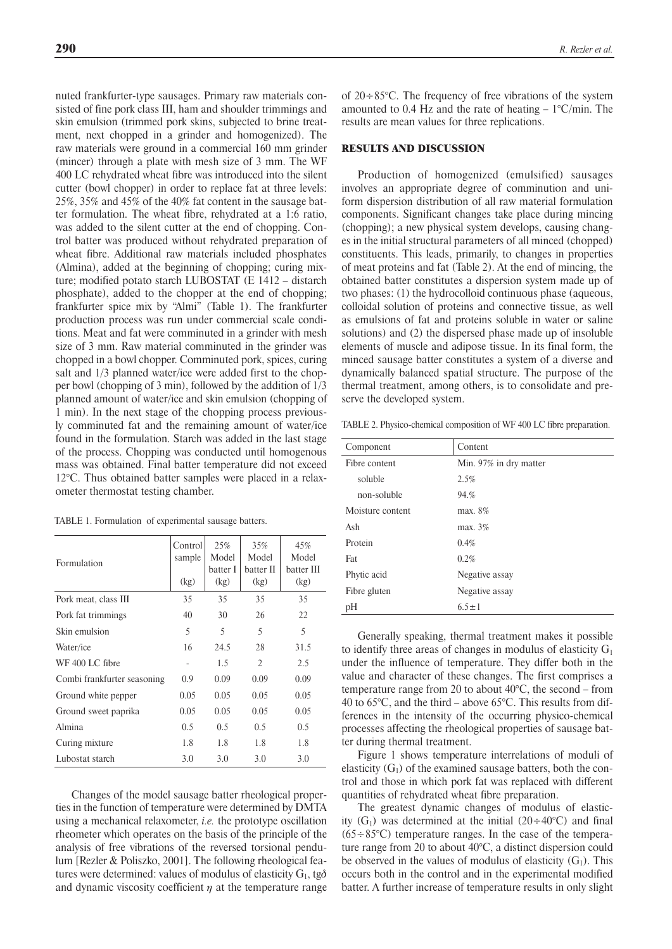nuted frankfurter-type sausages. Primary raw materials consisted of fine pork class III, ham and shoulder trimmings and skin emulsion (trimmed pork skins, subjected to brine treatment, next chopped in a grinder and homogenized). The raw materials were ground in a commercial 160 mm grinder (mincer) through a plate with mesh size of 3 mm. The WF 400 LC rehydrated wheat fibre was introduced into the silent cutter (bowl chopper) in order to replace fat at three levels: 25%, 35% and 45% of the 40% fat content in the sausage batter formulation. The wheat fibre, rehydrated at a 1:6 ratio, was added to the silent cutter at the end of chopping. Control batter was produced without rehydrated preparation of wheat fibre. Additional raw materials included phosphates (Almina), added at the beginning of chopping; curing mixture; modified potato starch LUBOSTAT (E 1412 – distarch phosphate), added to the chopper at the end of chopping; frankfurter spice mix by "Almi" (Table 1). The frankfurter production process was run under commercial scale conditions. Meat and fat were comminuted in a grinder with mesh size of 3 mm. Raw material comminuted in the grinder was chopped in a bowl chopper. Comminuted pork, spices, curing salt and  $1/3$  planned water/ice were added first to the chopper bowl (chopping of 3 min), followed by the addition of 1/3 planned amount of water/ice and skin emulsion (chopping of 1 min). In the next stage of the chopping process previously comminuted fat and the remaining amount of water/ice found in the formulation. Starch was added in the last stage of the process. Chopping was conducted until homogenous mass was obtained. Final batter temperature did not exceed 12°C. Thus obtained batter samples were placed in a relaxometer thermostat testing chamber.

| TABLE 1. Formulation of experimental sausage batters. |  |  |
|-------------------------------------------------------|--|--|
|-------------------------------------------------------|--|--|

| Formulation                 | Control<br>sample<br>(kg) | 25%<br>Model<br>batter I<br>(kg) | 35%<br>Model<br>batter II<br>(kg) | 45%<br>Model<br>batter III<br>(kg) |
|-----------------------------|---------------------------|----------------------------------|-----------------------------------|------------------------------------|
| Pork meat, class III        | 35                        | 35                               | 35                                | 35                                 |
| Pork fat trimmings          | 40                        | 30                               | 26                                | 22                                 |
| Skin emulsion               | 5                         | 5                                | 5                                 | 5                                  |
| Water/ice                   | 16                        | 24.5                             | 28                                | 31.5                               |
| WF 400 LC fibre             |                           | 1.5                              | $\overline{2}$                    | 2.5                                |
| Combi frankfurter seasoning | 0.9                       | 0.09                             | 0.09                              | 0.09                               |
| Ground white pepper         | 0.05                      | 0.05                             | 0.05                              | 0.05                               |
| Ground sweet paprika        | 0.05                      | 0.05                             | 0.05                              | 0.05                               |
| Almina                      | 0.5                       | 0.5                              | 0.5                               | 0.5                                |
| Curing mixture              | 1.8                       | 1.8                              | 1.8                               | 1.8                                |
| Lubostat starch             | 3.0                       | 3.0                              | 3.0                               | 3.0                                |

Changes of the model sausage batter rheological properties in the function of temperature were determined by DMTA using a mechanical relaxometer, *i.e.* the prototype oscillation rheometer which operates on the basis of the principle of the analysis of free vibrations of the reversed torsional pendulum [Rezler & Poliszko, 2001]. The following rheological features were determined: values of modulus of elasticity  $G_1$ , tg $\delta$ and dynamic viscosity coefficient  $\eta$  at the temperature range

of 20÷85°C. The frequency of free vibrations of the system amounted to 0.4 Hz and the rate of heating  $-1^{\circ}$ C/min. The results are mean values for three replications.

### RESULTS AND DISCUSSION

Production of homogenized (emulsified) sausages involves an appropriate degree of comminution and uniform dispersion distribution of all raw material formulation components. Significant changes take place during mincing (chopping); a new physical system develops, causing changes in the initial structural parameters of all minced (chopped) constituents. This leads, primarily, to changes in properties of meat proteins and fat (Table 2). At the end of mincing, the obtained batter constitutes a dispersion system made up of two phases: (1) the hydrocolloid continuous phase (aqueous, colloidal solution of proteins and connective tissue, as well as emulsions of fat and proteins soluble in water or saline solutions) and (2) the dispersed phase made up of insoluble elements of muscle and adipose tissue. In its final form, the minced sausage batter constitutes a system of a diverse and dynamically balanced spatial structure. The purpose of the thermal treatment, among others, is to consolidate and preserve the developed system.

TABLE 2. Physico-chemical composition of WF 400 LC fibre preparation.

| Component        | Content                |
|------------------|------------------------|
| Fibre content    | Min. 97% in dry matter |
| soluble          | 2.5%                   |
| non-soluble      | 94.%                   |
| Moisture content | max. 8%                |
| Ash              | max. 3%                |
| Protein          | 0.4%                   |
| Fat              | 0.2%                   |
| Phytic acid      | Negative assay         |
| Fibre gluten     | Negative assay         |
| pH               | $6.5 \pm 1$            |

Generally speaking, thermal treatment makes it possible to identify three areas of changes in modulus of elasticity  $G_1$ under the influence of temperature. They differ both in the value and character of these changes. The first comprises a temperature range from 20 to about 40°C, the second – from 40 to 65°C, and the third – above 65°C. This results from differences in the intensity of the occurring physico-chemical processes affecting the rheological properties of sausage batter during thermal treatment.

Figure 1 shows temperature interrelations of moduli of elasticity  $(G<sub>1</sub>)$  of the examined sausage batters, both the control and those in which pork fat was replaced with different quantities of rehydrated wheat fibre preparation.

The greatest dynamic changes of modulus of elasticity  $(G_1)$  was determined at the initial  $(20 \div 40^{\circ}C)$  and final  $(65 \div 85^{\circ}C)$  temperature ranges. In the case of the temperature range from 20 to about 40°C, a distinct dispersion could be observed in the values of modulus of elasticity  $(G_1)$ . This occurs both in the control and in the experimental modified batter. A further increase of temperature results in only slight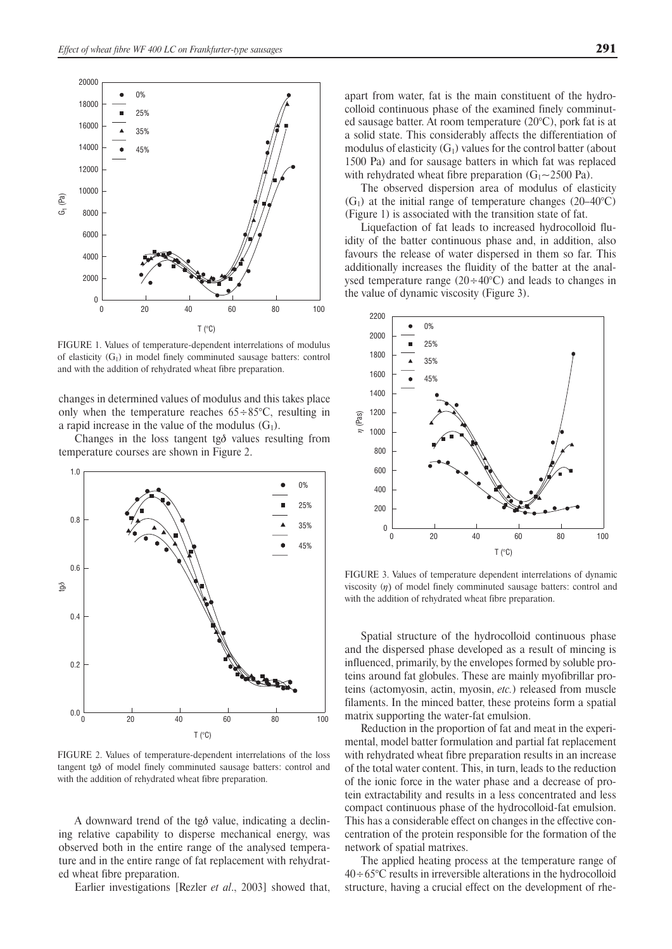

FIGURE 1. Values of temperature-dependent interrelations of modulus of elasticity  $(G_1)$  in model finely comminuted sausage batters: control and with the addition of rehydrated wheat fibre preparation.

changes in determined values of modulus and this takes place only when the temperature reaches  $65 \div 85^{\circ}$ C, resulting in a rapid increase in the value of the modulus  $(G_1)$ .

Changes in the loss tangent tg $\delta$  values resulting from temperature courses are shown in Figure 2.



FIGURE 2. Values of temperature-dependent interrelations of the loss tangent tg $\delta$  of model finely comminuted sausage batters: control and with the addition of rehydrated wheat fibre preparation.

A downward trend of the tg $\delta$  value, indicating a declining relative capability to disperse mechanical energy, was observed both in the entire range of the analysed temperature and in the entire range of fat replacement with rehydrated wheat fibre preparation.

Earlier investigations [Rezler *et al*., 2003] showed that,

apart from water, fat is the main constituent of the hydrocolloid continuous phase of the examined finely comminuted sausage batter. At room temperature (20°C), pork fat is at a solid state. This considerably affects the differentiation of modulus of elasticity  $(G_1)$  values for the control batter (about 1500 Pa) and for sausage batters in which fat was replaced with rehydrated wheat fibre preparation  $(G_1 \sim 2500 \text{ Pa})$ .

The observed dispersion area of modulus of elasticity  $(G<sub>1</sub>)$  at the initial range of temperature changes (20–40°C) (Figure 1) is associated with the transition state of fat.

Liquefaction of fat leads to increased hydrocolloid fluidity of the batter continuous phase and, in addition, also favours the release of water dispersed in them so far. This additionally increases the fluidity of the batter at the analysed temperature range  $(20 \div 40^{\circ} \text{C})$  and leads to changes in the value of dynamic viscosity (Figure 3).



FIGURE 3. Values of temperature dependent interrelations of dynamic viscosity  $(n)$  of model finely comminuted sausage batters: control and with the addition of rehydrated wheat fibre preparation.

Spatial structure of the hydrocolloid continuous phase and the dispersed phase developed as a result of mincing is influenced, primarily, by the envelopes formed by soluble proteins around fat globules. These are mainly myofibrillar proteins (actomyosin, actin, myosin, *etc.*) released from muscle filaments. In the minced batter, these proteins form a spatial matrix supporting the water-fat emulsion.

Reduction in the proportion of fat and meat in the experimental, model batter formulation and partial fat replacement with rehydrated wheat fibre preparation results in an increase of the total water content. This, in turn, leads to the reduction of the ionic force in the water phase and a decrease of protein extractability and results in a less concentrated and less compact continuous phase of the hydrocolloid-fat emulsion. This has a considerable effect on changes in the effective concentration of the protein responsible for the formation of the network of spatial matrixes.

The applied heating process at the temperature range of  $40 \div 65^{\circ}$ C results in irreversible alterations in the hydrocolloid structure, having a crucial effect on the development of rhe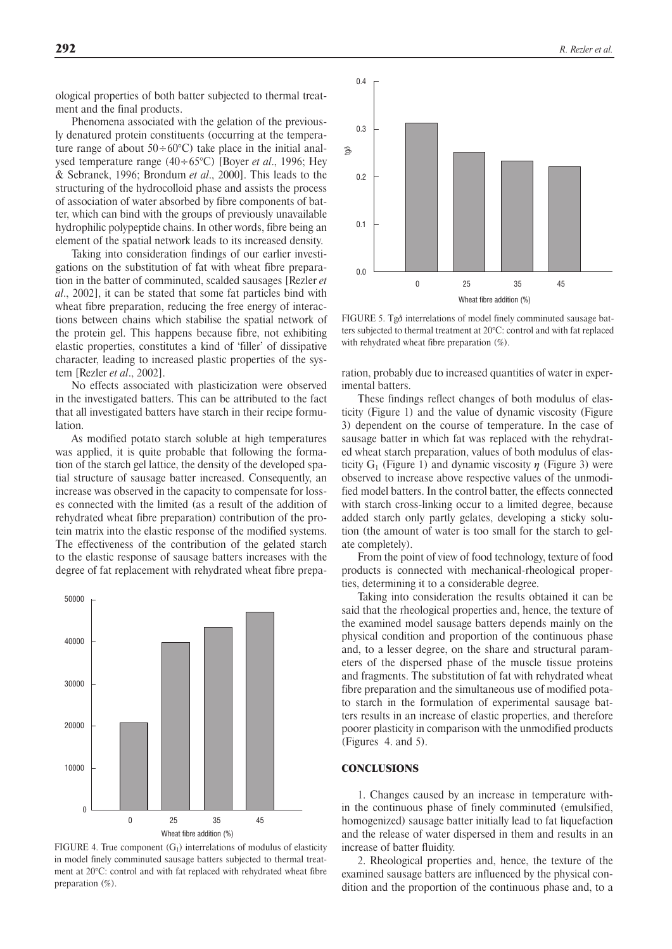ological properties of both batter subjected to thermal treatment and the final products.

Phenomena associated with the gelation of the previously denatured protein constituents (occurring at the temperature range of about  $50 \div 60^{\circ}$ C) take place in the initial analysed temperature range (40÷65°C) [Boyer *et al*., 1996; Hey & Sebranek, 1996; Brondum *et al*., 2000]. This leads to the structuring of the hydrocolloid phase and assists the process of association of water absorbed by fibre components of batter, which can bind with the groups of previously unavailable hydrophilic polypeptide chains. In other words, fibre being an element of the spatial network leads to its increased density.

Taking into consideration findings of our earlier investigations on the substitution of fat with wheat fibre preparation in the batter of comminuted, scalded sausages [Rezler *et al*., 2002], it can be stated that some fat particles bind with wheat fibre preparation, reducing the free energy of interactions between chains which stabilise the spatial network of the protein gel. This happens because fibre, not exhibiting elastic properties, constitutes a kind of 'filler' of dissipative character, leading to increased plastic properties of the system [Rezler *et al*., 2002].

No effects associated with plasticization were observed in the investigated batters. This can be attributed to the fact that all investigated batters have starch in their recipe formulation.

As modified potato starch soluble at high temperatures was applied, it is quite probable that following the formation of the starch gel lattice, the density of the developed spatial structure of sausage batter increased. Consequently, an increase was observed in the capacity to compensate for losses connected with the limited (as a result of the addition of rehydrated wheat fibre preparation) contribution of the protein matrix into the elastic response of the modified systems. The effectiveness of the contribution of the gelated starch to the elastic response of sausage batters increases with the degree of fat replacement with rehydrated wheat fibre prepa-



FIGURE 4. True component  $(G_1)$  interrelations of modulus of elasticity in model finely comminuted sausage batters subjected to thermal treatment at 20°C: control and with fat replaced with rehydrated wheat fibre preparation (%).



FIGURE 5. Tg $\delta$  interrelations of model finely comminuted sausage batters subjected to thermal treatment at 20°C: control and with fat replaced with rehydrated wheat fibre preparation (%).

ration, probably due to increased quantities of water in experimental batters.

These findings reflect changes of both modulus of elasticity (Figure 1) and the value of dynamic viscosity (Figure 3) dependent on the course of temperature. In the case of sausage batter in which fat was replaced with the rehydrated wheat starch preparation, values of both modulus of elasticity  $G_1$  (Figure 1) and dynamic viscosity  $\eta$  (Figure 3) were observed to increase above respective values of the unmodified model batters. In the control batter, the effects connected with starch cross-linking occur to a limited degree, because added starch only partly gelates, developing a sticky solution (the amount of water is too small for the starch to gelate completely).

From the point of view of food technology, texture of food products is connected with mechanical-rheological properties, determining it to a considerable degree.

Taking into consideration the results obtained it can be said that the rheological properties and, hence, the texture of the examined model sausage batters depends mainly on the physical condition and proportion of the continuous phase and, to a lesser degree, on the share and structural parameters of the dispersed phase of the muscle tissue proteins and fragments. The substitution of fat with rehydrated wheat fibre preparation and the simultaneous use of modified potato starch in the formulation of experimental sausage batters results in an increase of elastic properties, and therefore poorer plasticity in comparison with the unmodified products (Figures 4. and 5).

## **CONCLUSIONS**

1. Changes caused by an increase in temperature within the continuous phase of finely comminuted (emulsified, homogenized) sausage batter initially lead to fat liquefaction and the release of water dispersed in them and results in an increase of batter fluidity.

2. Rheological properties and, hence, the texture of the examined sausage batters are influenced by the physical condition and the proportion of the continuous phase and, to a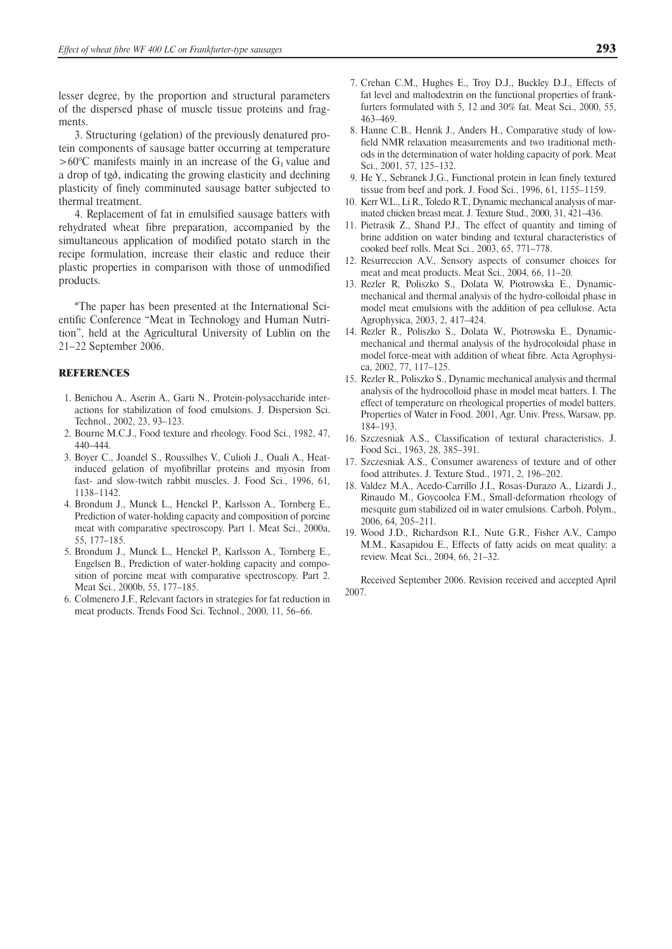lesser degree, by the proportion and structural parameters of the dispersed phase of muscle tissue proteins and fragments.

3. Structuring (gelation) of the previously denatured protein components of sausage batter occurring at temperature  $>60^{\circ}$ C manifests mainly in an increase of the G<sub>1</sub> value and a drop of tg $\delta$ , indicating the growing elasticity and declining plasticity of finely comminuted sausage batter subjected to thermal treatment.

4. Replacement of fat in emulsified sausage batters with rehydrated wheat fibre preparation, accompanied by the simultaneous application of modified potato starch in the recipe formulation, increase their elastic and reduce their plastic properties in comparison with those of unmodified products.

\*The paper has been presented at the International Scientific Conference "Meat in Technology and Human Nutrition", held at the Agricultural University of Lublin on the 21-22 September 2006.

#### **REFERENCES**

- 1. Benichou A., Aserin A., Garti N., Protein-polysaccharide interactions for stabilization of food emulsions. J. Dispersion Sci. Technol., 2002, 23, 93–123.
- 2. Bourne M.C.J., Food texture and rheology. Food Sci., 1982, 47, 440–444.
- 3. Boyer C., Joandel S., Roussilhes V., Culioli J., Ouali A., Heatinduced gelation of myofibrillar proteins and myosin from fast- and slow-twitch rabbit muscles. J. Food Sci., 1996, 61, 1138–1142.
- 4. Brondum J., Munck L., Henckel P., Karlsson A., Tornberg E., Prediction of water-holding capacity and composition of porcine meat with comparative spectroscopy. Part 1. Meat Sci., 2000a, 55, 177–185.
- 5. Brondum J., Munck L., Henckel P., Karlsson A., Tornberg E., Engelsen B., Prediction of water-holding capacity and composition of porcine meat with comparative spectroscopy. Part 2. Meat Sci., 2000b, 55, 177–185.
- 6. Colmenero J.F., Relevant factors in strategies for fat reduction in meat products. Trends Food Sci. Technol., 2000, 11, 56–66.
- 7. Crehan C.M., Hughes E., Troy D.J., Buckley D.J., Effects of fat level and maltodextrin on the functional properties of frankfurters formulated with 5, 12 and 30% fat. Meat Sci., 2000, 55, 463–469.
- 8. Hanne C.B., Henrik J., Anders H., Comparative study of lowfield NMR relaxation measurements and two traditional methods in the determination of water holding capacity of pork. Meat Sci., 2001, 57, 125–132.
- 9. He Y., Sebranek J.G., Functional protein in lean finely textured tissue from beef and pork. J. Food Sci., 1996, 61, 1155–1159.
- 10. Kerr W.L., Li R., Toledo R.T., Dynamic mechanical analysis of marinated chicken breast meat. J. Texture Stud., 2000, 31, 421–436.
- 11. Pietrasik Z., Shand P.J., The effect of quantity and timing of brine addition on water binding and textural characteristics of cooked beef rolls. Meat Sci., 2003, 65, 771–778.
- 12. Resurreccion A.V., Sensory aspects of consumer choices for meat and meat products. Meat Sci., 2004, 66, 11–20.
- 13. Rezler R, Poliszko S., Dolata W, Piotrowska E., Dynamicmechanical and thermal analysis of the hydro-colloidal phase in model meat emulsions with the addition of pea cellulose. Acta Agrophysica, 2003, 2, 417–424.
- 14. Rezler R., Poliszko S., Dolata W., Piotrowska E., Dynamicmechanical and thermal analysis of the hydrocoloidal phase in model force-meat with addition of wheat fibre. Acta Agrophysica, 2002, 77, 117–125.
- 15. Rezler R., Poliszko S., Dynamic mechanical analysis and thermal analysis of the hydrocolloid phase in model meat batters. I. The effect of temperature on rheological properties of model batters. Properties of Water in Food. 2001, Agr. Univ. Press, Warsaw, pp. 184–193.
- 16. Szczesniak A.S., Classification of textural characteristics. J. Food Sci., 1963, 28, 385–391.
- 17. Szczesniak A.S., Consumer awareness of texture and of other food attributes. J. Texture Stud., 1971, 2, 196–202.
- 18. Valdez M.A., Acedo-Carrillo J.I., Rosas-Durazo A., Lizardi J., Rinaudo M., Goycoolea F.M., Small-deformation rheology of mesquite gum stabilized oil in water emulsions. Carboh. Polym., 2006, 64, 205–211.
- 19. Wood J.D., Richardson R.I., Nute G.R., Fisher A.V., Campo M.M., Kasapidou E., Effects of fatty acids on meat quality: a review. Meat Sci., 2004, 66, 21–32.

Received September 2006. Revision received and accepted April 2007.